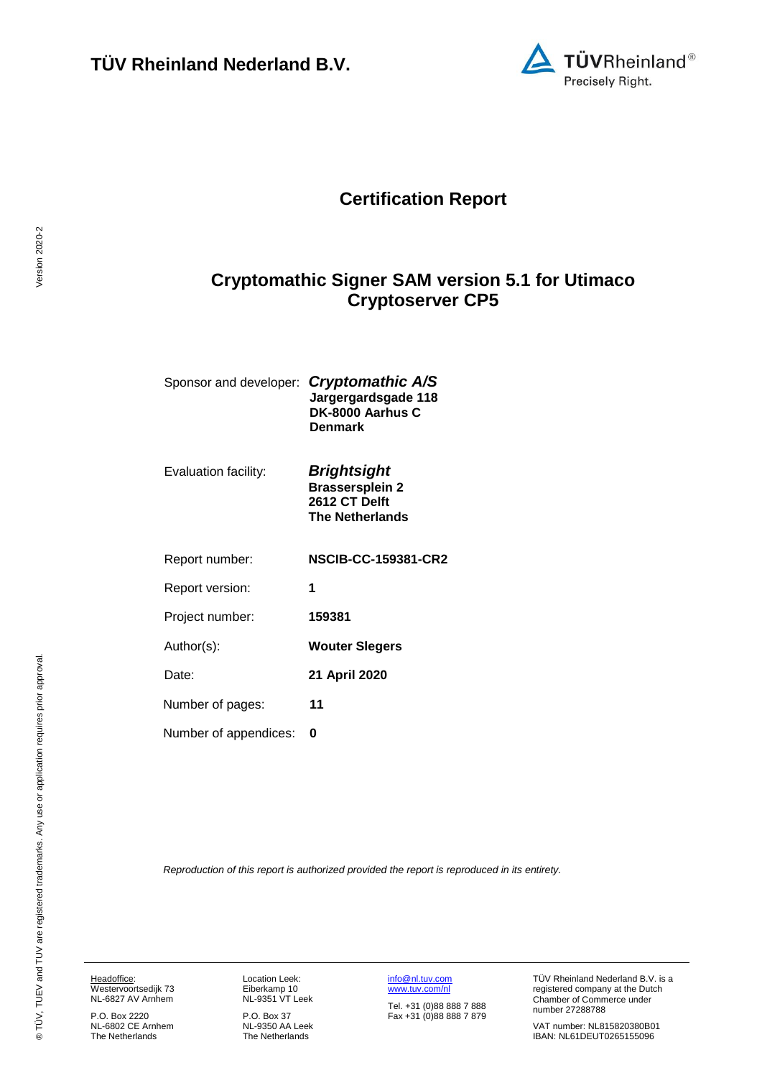

## **Certification Report**

## <span id="page-0-3"></span><span id="page-0-2"></span>**Cryptomathic Signer SAM version 5.1 for Utimaco Cryptoserver CP5**

| Sponsor and developer: Cryptomathic A/S | Jargergardsgade 118<br>DK-8000 Aarhus C<br>Denmark                                      |
|-----------------------------------------|-----------------------------------------------------------------------------------------|
| Evaluation facility:                    | <b>Brightsight</b><br><b>Brassersplein 2</b><br>2612 CT Delft<br><b>The Netherlands</b> |

<span id="page-0-1"></span><span id="page-0-0"></span>

| Report number:        | <b>NSCIB-CC-159381-CR2</b> |
|-----------------------|----------------------------|
| Report version:       | 1                          |
| Project number:       | 159381                     |
| Author(s):            | <b>Wouter Slegers</b>      |
| Date:                 | 21 April 2020              |
| Number of pages:      | 11                         |
| Number of appendices: |                            |

*Reproduction of this report is authorized provided the report is reproduced in its entirety.*

Headoffice: Westervoortsedijk 73 NL-6827 AV Arnhem

P.O. Box 2220 NL-6802 CE Arnhem The Netherlands Location Leek: Eiberkamp 10 NL-9351 VT Leek

P.O. Box 37 NL-9350 AA Leek The Netherlands [info@nl.tuv.com](mailto:info@nl.tuv.com) [www.tuv.com/nl](http://www.tuv.com/nl)

Tel. +31 (0)88 888 7 888 Fax +31 (0)88 888 7 879 TÜV Rheinland Nederland B.V. is a registered company at the Dutch Chamber of Commerce under number 27288788

VAT number: NL815820380B01 IBAN: NL61DEUT0265155096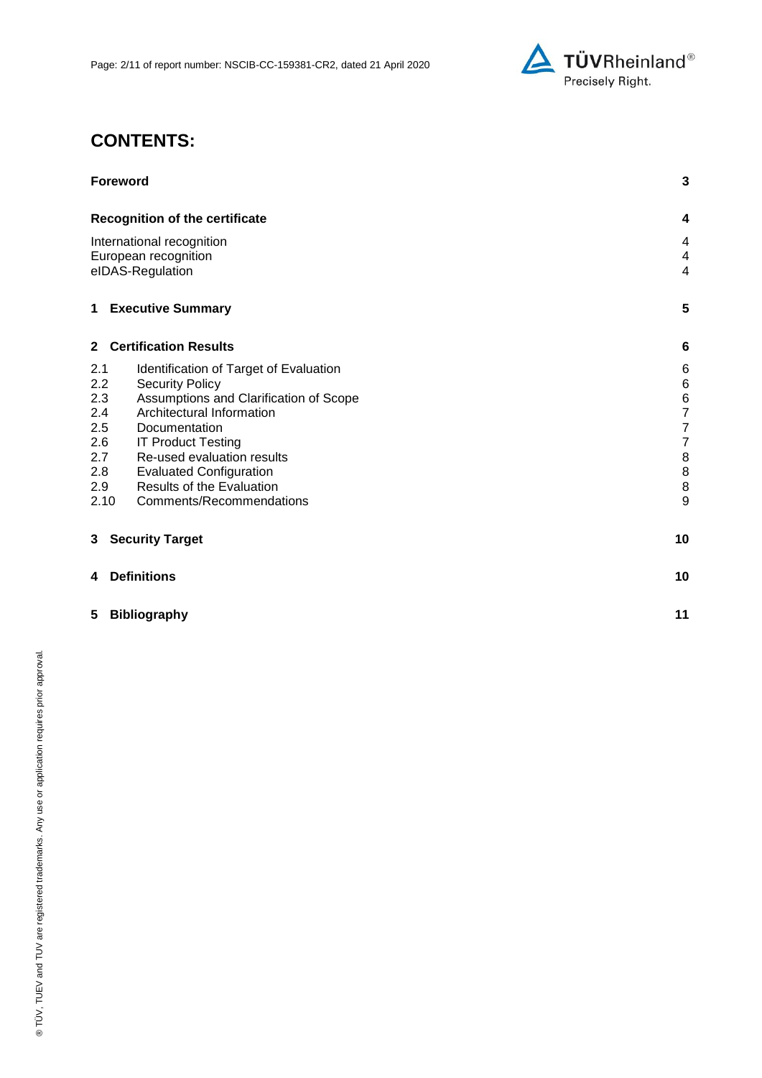

# **CONTENTS:**

| <b>Foreword</b>                   |                                                                    | $\mathbf{3}$   |
|-----------------------------------|--------------------------------------------------------------------|----------------|
|                                   | <b>Recognition of the certificate</b>                              | 4              |
| International recognition         |                                                                    | 4              |
|                                   | European recognition                                               | 4              |
|                                   | eIDAS-Regulation                                                   | $\overline{4}$ |
|                                   | <b>1 Executive Summary</b>                                         | 5              |
|                                   | 2 Certification Results                                            | 6              |
| 2.1                               | Identification of Target of Evaluation                             | 6              |
| 2.2                               | <b>Security Policy</b>                                             | $\,$ 6 $\,$    |
| 2.3                               | Assumptions and Clarification of Scope                             | $\overline{6}$ |
| 2.4                               | Architectural Information                                          | $\overline{7}$ |
| 2.5                               | Documentation                                                      | $\overline{7}$ |
| 2.6                               | <b>IT Product Testing</b>                                          | $\overline{7}$ |
| Re-used evaluation results<br>2.7 |                                                                    | 8              |
| 2.8<br>2.9                        | <b>Evaluated Configuration</b><br><b>Results of the Evaluation</b> | 8<br>8         |
|                                   | Comments/Recommendations<br>2.10                                   | 9              |
|                                   |                                                                    |                |
| 3                                 | <b>Security Target</b>                                             | 10             |
| 4                                 | <b>Definitions</b>                                                 | 10             |
| 5                                 | <b>Bibliography</b>                                                | 11             |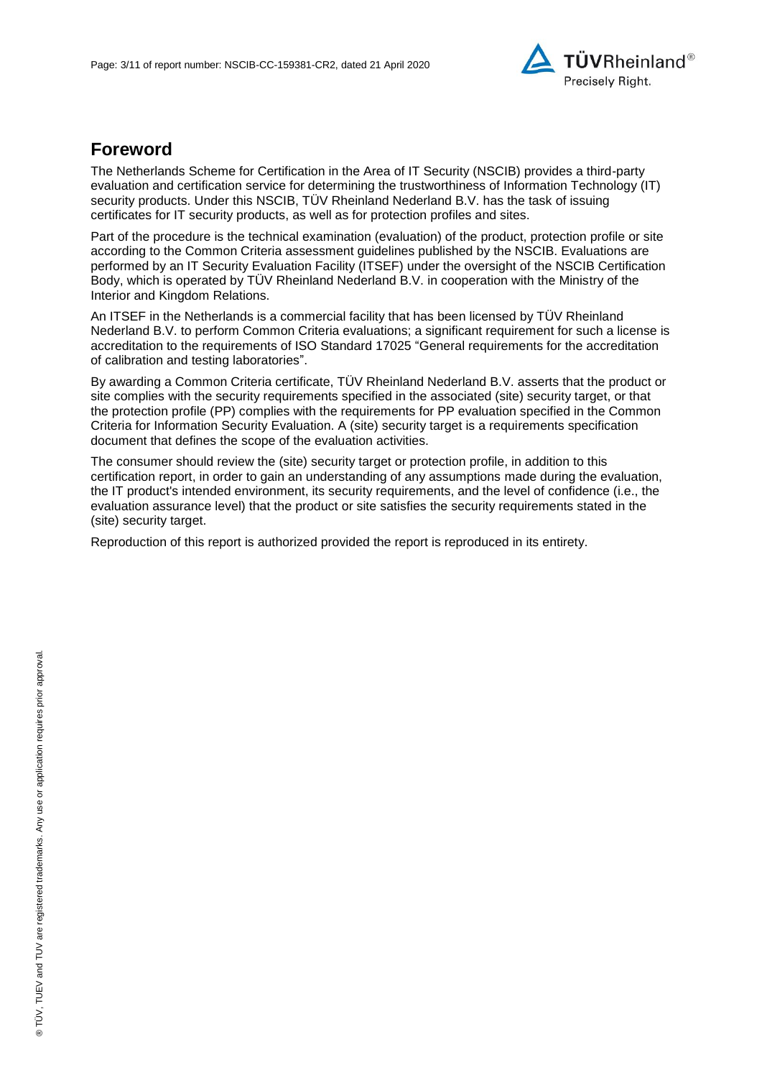

## **Foreword**

The Netherlands Scheme for Certification in the Area of IT Security (NSCIB) provides a third-party evaluation and certification service for determining the trustworthiness of Information Technology (IT) security products. Under this NSCIB, TUV Rheinland Nederland B.V. has the task of issuing certificates for IT security products, as well as for protection profiles and sites.

Part of the procedure is the technical examination (evaluation) of the product, protection profile or site according to the Common Criteria assessment guidelines published by the NSCIB. Evaluations are performed by an IT Security Evaluation Facility (ITSEF) under the oversight of the NSCIB Certification Body, which is operated by TÜV Rheinland Nederland B.V. in cooperation with the Ministry of the Interior and Kingdom Relations.

An ITSEF in the Netherlands is a commercial facility that has been licensed by TÜV Rheinland Nederland B.V. to perform Common Criteria evaluations; a significant requirement for such a license is accreditation to the requirements of ISO Standard 17025 "General requirements for the accreditation of calibration and testing laboratories".

By awarding a Common Criteria certificate, TÜV Rheinland Nederland B.V. asserts that the product or site complies with the security requirements specified in the associated (site) security target, or that the protection profile (PP) complies with the requirements for PP evaluation specified in the Common Criteria for Information Security Evaluation. A (site) security target is a requirements specification document that defines the scope of the evaluation activities.

The consumer should review the (site) security target or protection profile, in addition to this certification report, in order to gain an understanding of any assumptions made during the evaluation, the IT product's intended environment, its security requirements, and the level of confidence (i.e., the evaluation assurance level) that the product or site satisfies the security requirements stated in the (site) security target.

Reproduction of this report is authorized provided the report is reproduced in its entirety.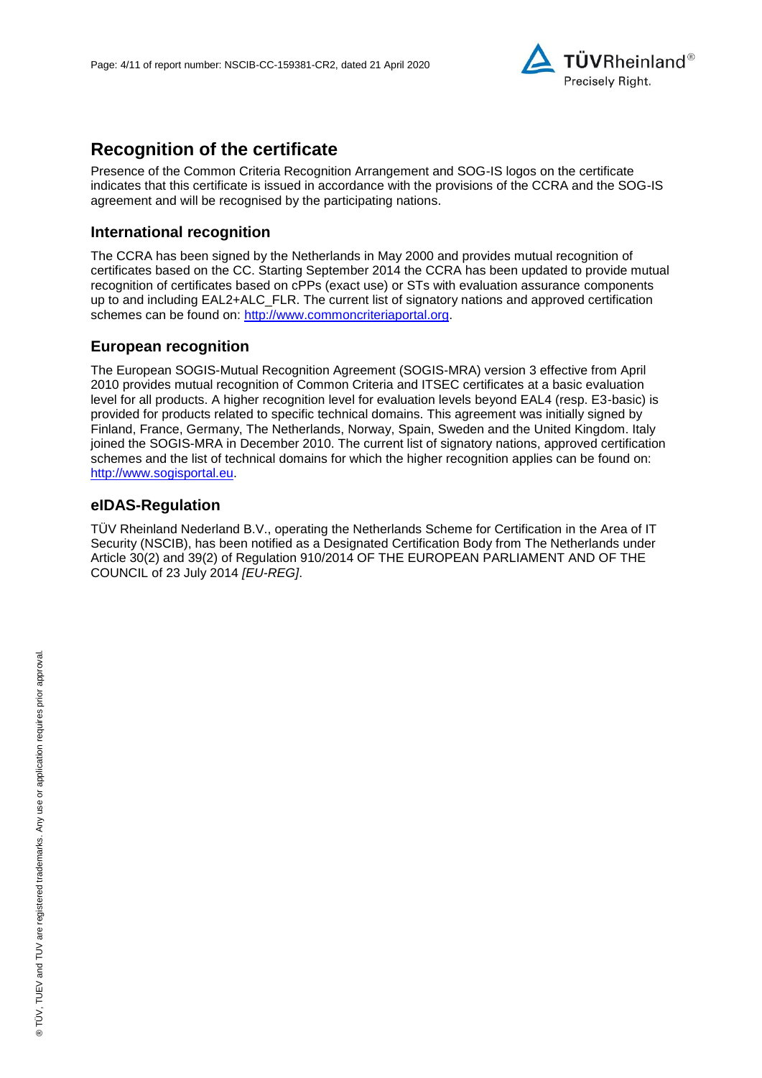

## **Recognition of the certificate**

Presence of the Common Criteria Recognition Arrangement and SOG-IS logos on the certificate indicates that this certificate is issued in accordance with the provisions of the CCRA and the SOG-IS agreement and will be recognised by the participating nations.

#### **International recognition**

The CCRA has been signed by the Netherlands in May 2000 and provides mutual recognition of certificates based on the CC. Starting September 2014 the CCRA has been updated to provide mutual recognition of certificates based on cPPs (exact use) or STs with evaluation assurance components up to and including EAL2+ALC\_FLR. The current list of signatory nations and approved certification schemes can be found on: [http://www.commoncriteriaportal.org.](http://www.commoncriteriaportal.org/)

## **European recognition**

The European SOGIS-Mutual Recognition Agreement (SOGIS-MRA) version 3 effective from April 2010 provides mutual recognition of Common Criteria and ITSEC certificates at a basic evaluation level for all products. A higher recognition level for evaluation levels beyond EAL4 (resp. E3-basic) is provided for products related to specific technical domains. This agreement was initially signed by Finland, France, Germany, The Netherlands, Norway, Spain, Sweden and the United Kingdom. Italy joined the SOGIS-MRA in December 2010. The current list of signatory nations, approved certification schemes and the list of technical domains for which the higher recognition applies can be found on: [http://www.sogisportal.eu.](http://www.sogisportal.eu/)

### **eIDAS-Regulation**

TÜV Rheinland Nederland B.V., operating the Netherlands Scheme for Certification in the Area of IT Security (NSCIB), has been notified as a Designated Certification Body from The Netherlands under Article 30(2) and 39(2) of Regulation 910/2014 OF THE EUROPEAN PARLIAMENT AND OF THE COUNCIL of 23 July 2014 *[EU-REG]*.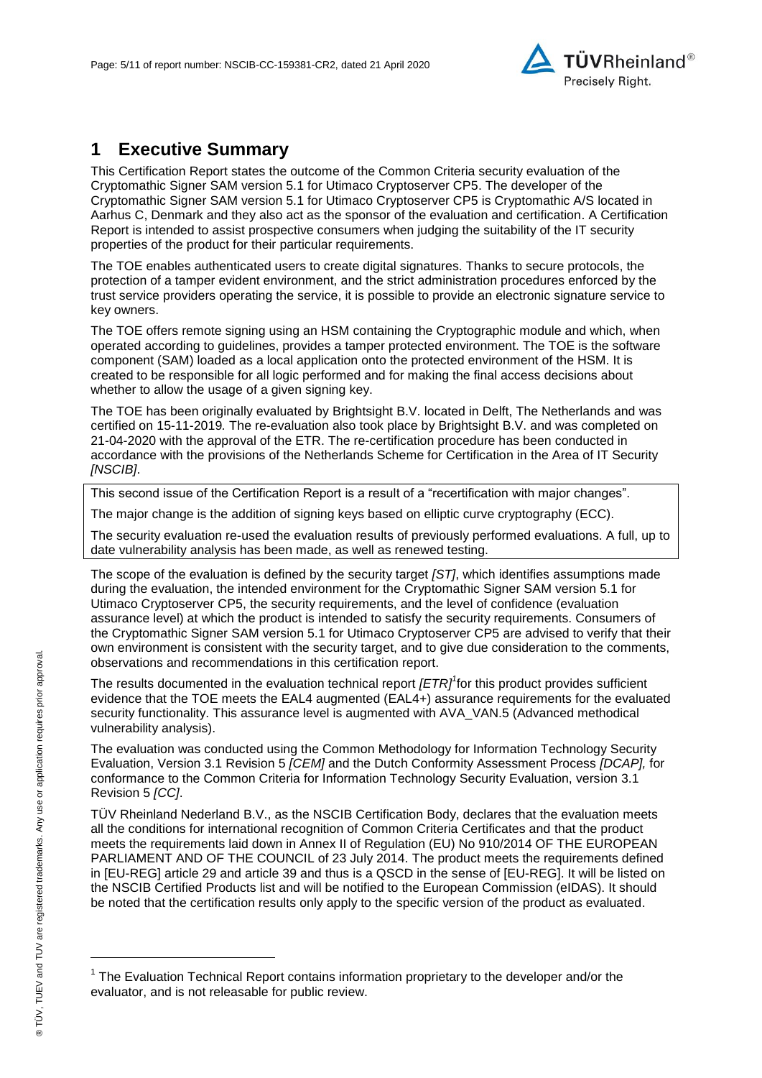

## **1 Executive Summary**

<span id="page-4-2"></span>This Certification Report states the outcome of the Common Criteria security evaluation of the [Cryptomathic Signer SAM version 5.1 for Utimaco Cryptoserver CP5.](#page-0-2) The developer of the [Cryptomathic Signer SAM version 5.1 for Utimaco Cryptoserver CP5](#page-0-2) is [Cryptomathic A/S](#page-0-3) located in Aarhus C, Denmark and they also act as the sponsor of the evaluation and certification. A Certification Report is intended to assist prospective consumers when judging the suitability of the IT security properties of the product for their particular requirements.

The TOE enables authenticated users to create digital signatures. Thanks to secure protocols, the protection of a tamper evident environment, and the strict administration procedures enforced by the trust service providers operating the service, it is possible to provide an electronic signature service to key owners.

The TOE offers remote signing using an HSM containing the Cryptographic module and which, when operated according to guidelines, provides a tamper protected environment. The TOE is the software component (SAM) loaded as a local application onto the protected environment of the HSM. It is created to be responsible for all logic performed and for making the final access decisions about whether to allow the usage of a given signing key.

The TOE has been originally evaluated by Brightsight B.V. located in Delft, The Netherlands and was certified on 15-11-2019*.* The re-evaluation also took place by Brightsight B.V. and was completed on 21-04-2020 with the approval of the ETR. The re-certification procedure has been conducted in accordance with the provisions of the Netherlands Scheme for Certification in the Area of IT Security *[NSCIB]*.

This second issue of the Certification Report is a result of a "recertification with major changes".

The major change is the addition of signing keys based on elliptic curve cryptography (ECC).

The security evaluation re-used the evaluation results of previously performed evaluations. A full, up to date vulnerability analysis has been made, as well as renewed testing.

The scope of the evaluation is defined by the security target *[ST]*, which identifies assumptions made during the evaluation, the intended environment for the [Cryptomathic Signer SAM version 5.1 for](#page-0-2)  [Utimaco Cryptoserver CP5,](#page-0-2) the security requirements, and the level of confidence (evaluation assurance level) at which the product is intended to satisfy the security requirements. Consumers of the [Cryptomathic Signer SAM version 5.1 for Utimaco Cryptoserver CP5](#page-0-2) are advised to verify that their own environment is consistent with the security target, and to give due consideration to the comments, observations and recommendations in this certification report.

<span id="page-4-0"></span>The results documented in the evaluation technical report *[ETR]<sup>1</sup>* for this product provides sufficient evidence that the TOE meets the EAL4 augmented (EA[L4+](#page-4-0)) assurance requirements for the evaluated security functionality. This assurance level is augmented with AVA\_VAN.5 (Advanced methodical vulnerability analysis).

<span id="page-4-1"></span>The evaluation was conducted using the Common Methodology for Information Technology Security Evaluation, Version 3.1 Revision 5 *[CEM]* and the Dutch Conformity Assessment Process *[DCAP],* for conformance to the Common Criteria for Information Technology Security Evaluation, version 3.1 Revision [5](#page-4-1) *[CC]*.

TÜV Rheinland Nederland B.V., as the NSCIB Certification Body, declares that the evaluation meets all the conditions for international recognition of Common Criteria Certificates and that the product meets the requirements laid down in Annex II of Regulation (EU) No 910/2014 OF THE EUROPEAN PARLIAMENT AND OF THE COUNCIL of 23 July 2014. The product meets the requirements defined in [EU-REG] article 29 and article 39 and thus is a QSCD in the sense of [EU-REG]. It will be listed on the NSCIB Certified Products list and will be notified to the European Commission (eIDAS). It should be noted that the certification results only apply to the specific version of the product as evaluated.

l

<sup>&</sup>lt;sup>1</sup> The Evaluation Technical Report contains information proprietary to the developer and/or the evaluator, and is not releasable for public review.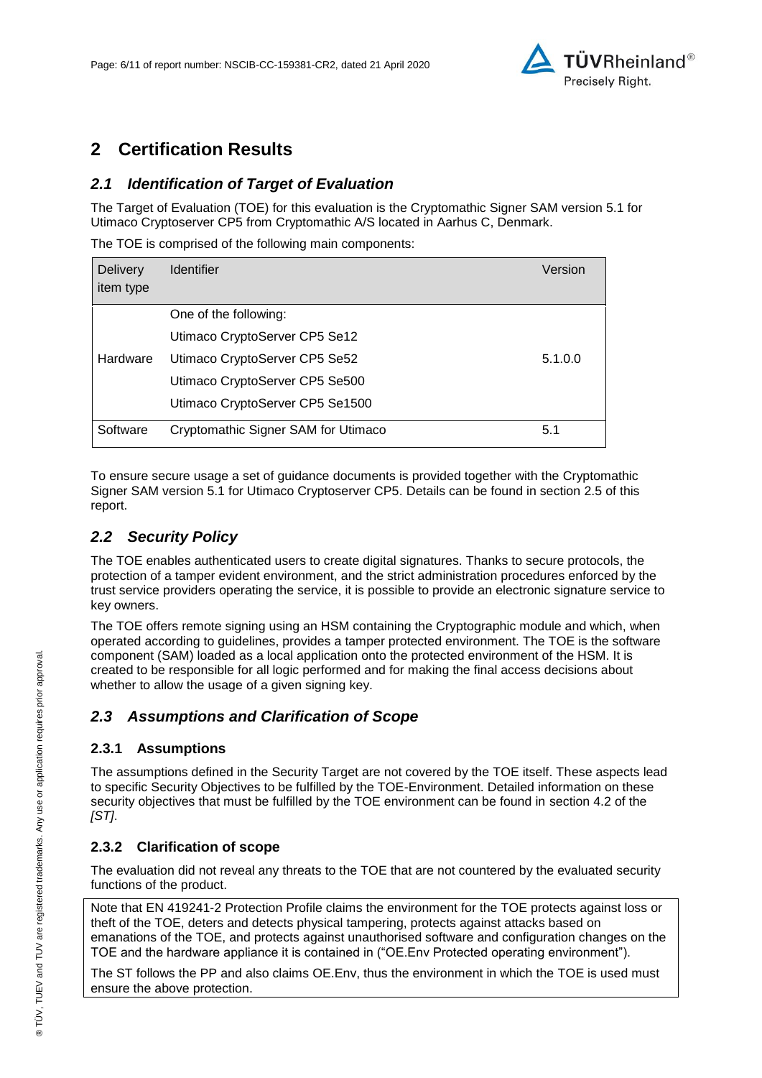

## **2 Certification Results**

## *2.1 Identification of Target of Evaluation*

The Target of Evaluation (TOE) for this evaluation is the [Cryptomathic Signer SAM version 5.1 for](#page-0-2)  [Utimaco Cryptoserver CP5](#page-0-2) from [Cryptomathic A/S](#page-0-3) located in [Aarhus C, Denmark.](#page-4-2)

The TOE is comprised of the following main components:

| Delivery<br>item type | <b>Identifier</b>                   | Version |
|-----------------------|-------------------------------------|---------|
|                       |                                     |         |
|                       | One of the following:               |         |
|                       | Utimaco CryptoServer CP5 Se12       |         |
| Hardware              | Utimaco CryptoServer CP5 Se52       | 5.1.0.0 |
|                       | Utimaco CryptoServer CP5 Se500      |         |
|                       | Utimaco CryptoServer CP5 Se1500     |         |
| Software              | Cryptomathic Signer SAM for Utimaco | 5.1     |

To ensure secure usage a set of guidance documents is provided together with the [Cryptomathic](#page-0-2)  [Signer SAM version 5.1 for Utimaco Cryptoserver CP5.](#page-0-2) Details can be found in section 2.5 of this report.

### *2.2 Security Policy*

The TOE enables authenticated users to create digital signatures. Thanks to secure protocols, the protection of a tamper evident environment, and the strict administration procedures enforced by the trust service providers operating the service, it is possible to provide an electronic signature service to key owners.

The TOE offers remote signing using an HSM containing the Cryptographic module and which, when operated according to guidelines, provides a tamper protected environment. The TOE is the software component (SAM) loaded as a local application onto the protected environment of the HSM. It is created to be responsible for all logic performed and for making the final access decisions about whether to allow the usage of a given signing key.

### *2.3 Assumptions and Clarification of Scope*

#### **2.3.1 Assumptions**

The assumptions defined in the Security Target are not covered by the TOE itself. These aspects lead to specific Security Objectives to be fulfilled by the TOE-Environment. Detailed information on these security objectives that must be fulfilled by the TOE environment can be found in section 4.2 of the *[ST]*.

### **2.3.2 Clarification of scope**

The evaluation did not reveal any threats to the TOE that are not countered by the evaluated security functions of the product.

Note that EN 419241-2 Protection Profile claims the environment for the TOE protects against loss or theft of the TOE, deters and detects physical tampering, protects against attacks based on emanations of the TOE, and protects against unauthorised software and configuration changes on the TOE and the hardware appliance it is contained in ("OE.Env Protected operating environment").

The ST follows the PP and also claims OE.Env, thus the environment in which the TOE is used must ensure the above protection.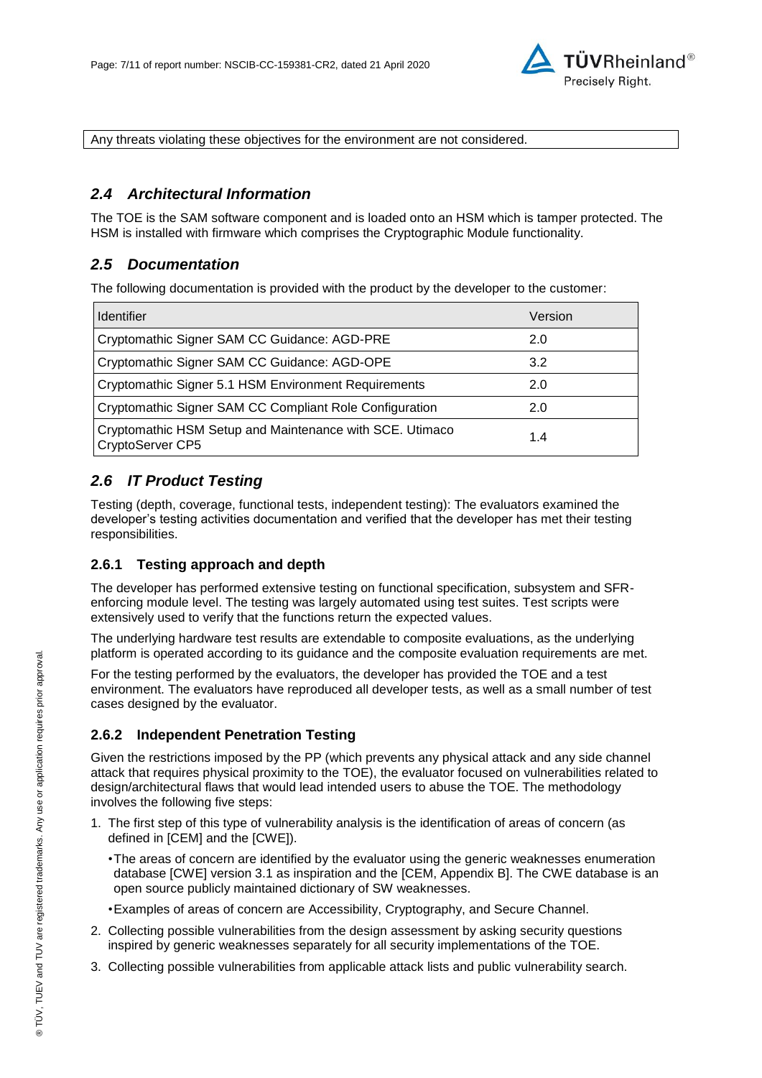

Any threats violating these objectives for the environment are not considered.

### *2.4 Architectural Information*

The TOE is the SAM software component and is loaded onto an HSM which is tamper protected. The HSM is installed with firmware which comprises the Cryptographic Module functionality.

#### *2.5 Documentation*

The following documentation is provided with the product by the developer to the customer:

| <b>Identifier</b>                                                                   | Version |
|-------------------------------------------------------------------------------------|---------|
| Cryptomathic Signer SAM CC Guidance: AGD-PRE                                        | 2.0     |
| Cryptomathic Signer SAM CC Guidance: AGD-OPE                                        | 3.2     |
| Cryptomathic Signer 5.1 HSM Environment Requirements                                | 2.0     |
| Cryptomathic Signer SAM CC Compliant Role Configuration                             | 2.0     |
| Cryptomathic HSM Setup and Maintenance with SCE. Utimaco<br>1.4<br>CryptoServer CP5 |         |

## *2.6 IT Product Testing*

Testing (depth, coverage, functional tests, independent testing): The evaluators examined the developer's testing activities documentation and verified that the developer has met their testing responsibilities.

#### **2.6.1 Testing approach and depth**

The developer has performed extensive testing on functional specification, subsystem and SFRenforcing module level. The testing was largely automated using test suites. Test scripts were extensively used to verify that the functions return the expected values.

The underlying hardware test results are extendable to composite evaluations, as the underlying platform is operated according to its guidance and the composite evaluation requirements are met.

For the testing performed by the evaluators, the developer has provided the TOE and a test environment. The evaluators have reproduced all developer tests, as well as a small number of test cases designed by the evaluator.

#### **2.6.2 Independent Penetration Testing**

Given the restrictions imposed by the PP (which prevents any physical attack and any side channel attack that requires physical proximity to the TOE), the evaluator focused on vulnerabilities related to design/architectural flaws that would lead intended users to abuse the TOE. The methodology involves the following five steps:

- 1. The first step of this type of vulnerability analysis is the identification of areas of concern (as defined in [CEM] and the [CWE]).
	- •The areas of concern are identified by the evaluator using the generic weaknesses enumeration database [CWE] version 3.1 as inspiration and the [CEM, Appendix B]. The CWE database is an open source publicly maintained dictionary of SW weaknesses.
	- •Examples of areas of concern are Accessibility, Cryptography, and Secure Channel.
- 2. Collecting possible vulnerabilities from the design assessment by asking security questions inspired by generic weaknesses separately for all security implementations of the TOE.
- 3. Collecting possible vulnerabilities from applicable attack lists and public vulnerability search.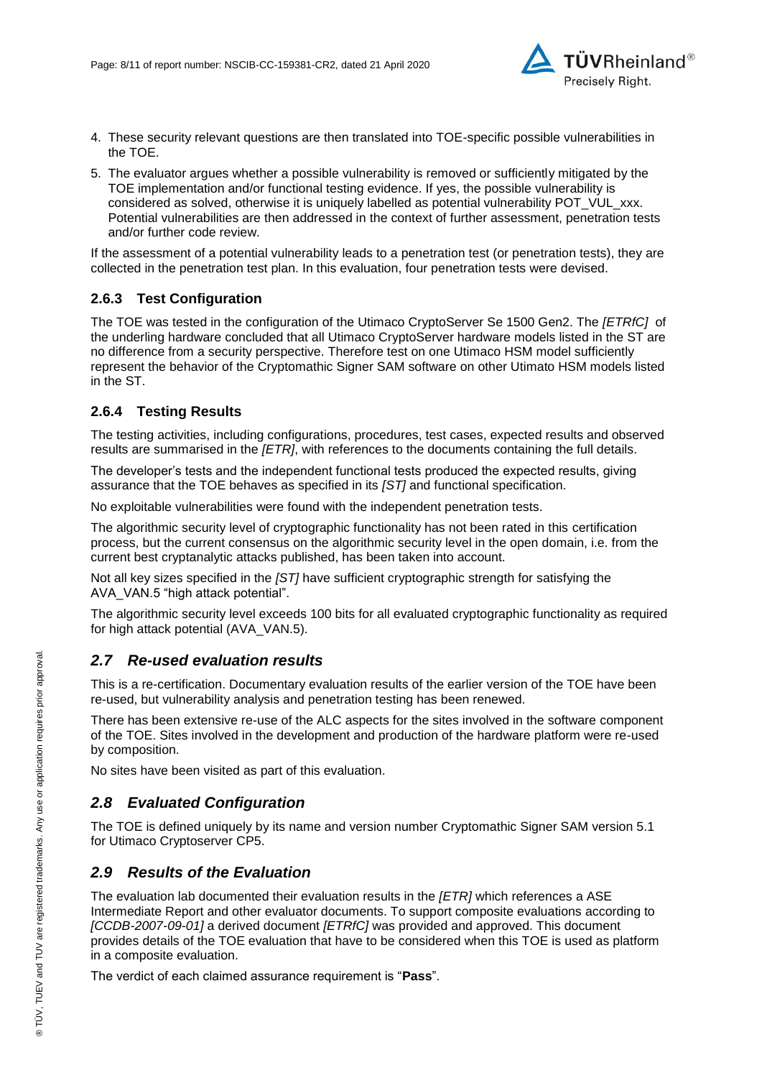

- 4. These security relevant questions are then translated into TOE-specific possible vulnerabilities in the TOE.
- 5. The evaluator argues whether a possible vulnerability is removed or sufficiently mitigated by the TOE implementation and/or functional testing evidence. If yes, the possible vulnerability is considered as solved, otherwise it is uniquely labelled as potential vulnerability POT\_VUL\_xxx. Potential vulnerabilities are then addressed in the context of further assessment, penetration tests and/or further code review.

If the assessment of a potential vulnerability leads to a penetration test (or penetration tests), they are collected in the penetration test plan. In this evaluation, four penetration tests were devised.

#### **2.6.3 Test Configuration**

The TOE was tested in the configuration of the Utimaco CryptoServer Se 1500 Gen2. The *[ETRfC]* of the underling hardware concluded that all Utimaco CryptoServer hardware models listed in the ST are no difference from a security perspective. Therefore test on one Utimaco HSM model sufficiently represent the behavior of the Cryptomathic Signer SAM software on other Utimato HSM models listed in the ST.

#### **2.6.4 Testing Results**

The testing activities, including configurations, procedures, test cases, expected results and observed results are summarised in the *[ETR]*, with references to the documents containing the full details.

The developer's tests and the independent functional tests produced the expected results, giving assurance that the TOE behaves as specified in its *[ST]* and functional specification.

No exploitable vulnerabilities were found with the independent penetration tests.

The algorithmic security level of cryptographic functionality has not been rated in this certification process, but the current consensus on the algorithmic security level in the open domain, i.e. from the current best cryptanalytic attacks published, has been taken into account.

Not all key sizes specified in the *[ST]* have sufficient cryptographic strength for satisfying the AVA\_VAN.5 "high attack potential".

The algorithmic security level exceeds 100 bits for all evaluated cryptographic functionality as required for high attack potential (AVA\_VAN.5).

#### *2.7 Re-used evaluation results*

This is a re-certification. Documentary evaluation results of the earlier version of the TOE have been re-used, but vulnerability analysis and penetration testing has been renewed.

There has been extensive re-use of the ALC aspects for the sites involved in the software component of the TOE. Sites involved in the development and production of the hardware platform were re-used by composition.

No sites have been visited as part of this evaluation.

### *2.8 Evaluated Configuration*

The TOE is defined uniquely by its name and version number [Cryptomathic Signer SAM version 5.1](#page-0-2)  [for Utimaco Cryptoserver CP5.](#page-0-2)

#### *2.9 Results of the Evaluation*

The evaluation lab documented their evaluation results in the *[ETR]* which references a ASE Intermediate Report and other evaluator documents. To support composite evaluations according to *[CCDB-2007-09-01]* a derived document *[ETRfC]* was provided and approved. This document provides details of the TOE evaluation that have to be considered when this TOE is used as platform in a composite evaluation.

The verdict of each claimed assurance requirement is "**Pass**".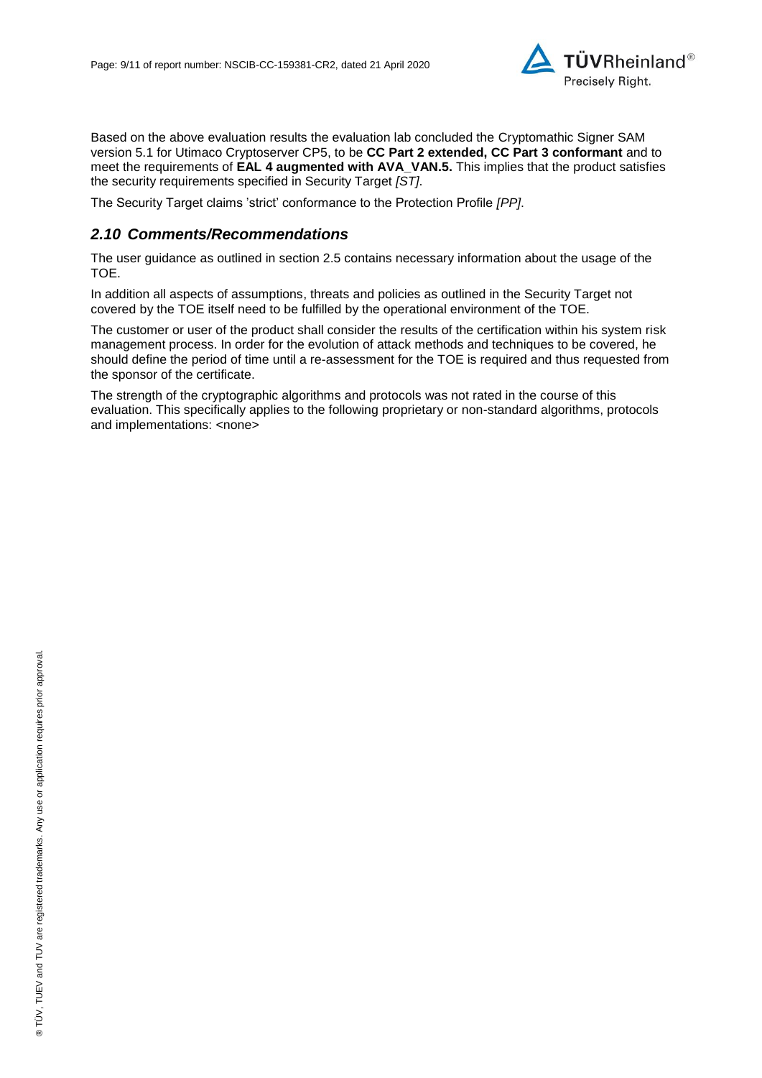

Based on the above evaluation results the evaluation lab concluded the [Cryptomathic Signer SAM](#page-0-2)  [version 5.1 for Utimaco Cryptoserver CP5,](#page-0-2) to be **CC Part 2 extended, CC Part 3 conformant** and to meet the requirements of **EAL [4](#page-4-0) augmented with AVA\_VAN.5.** This implies that the product satisfies the security requirements specified in Security Target *[ST]*.

The Security Target claims 'strict' conformance to the Protection Profile *[PP]*.

#### *2.10 Comments/Recommendations*

The user guidance as outlined in section 2.5 contains necessary information about the usage of the TOE.

In addition all aspects of assumptions, threats and policies as outlined in the Security Target not covered by the TOE itself need to be fulfilled by the operational environment of the TOE.

The customer or user of the product shall consider the results of the certification within his system risk management process. In order for the evolution of attack methods and techniques to be covered, he should define the period of time until a re-assessment for the TOE is required and thus requested from the sponsor of the certificate.

The strength of the cryptographic algorithms and protocols was not rated in the course of this evaluation. This specifically applies to the following proprietary or non-standard algorithms, protocols and implementations: <none>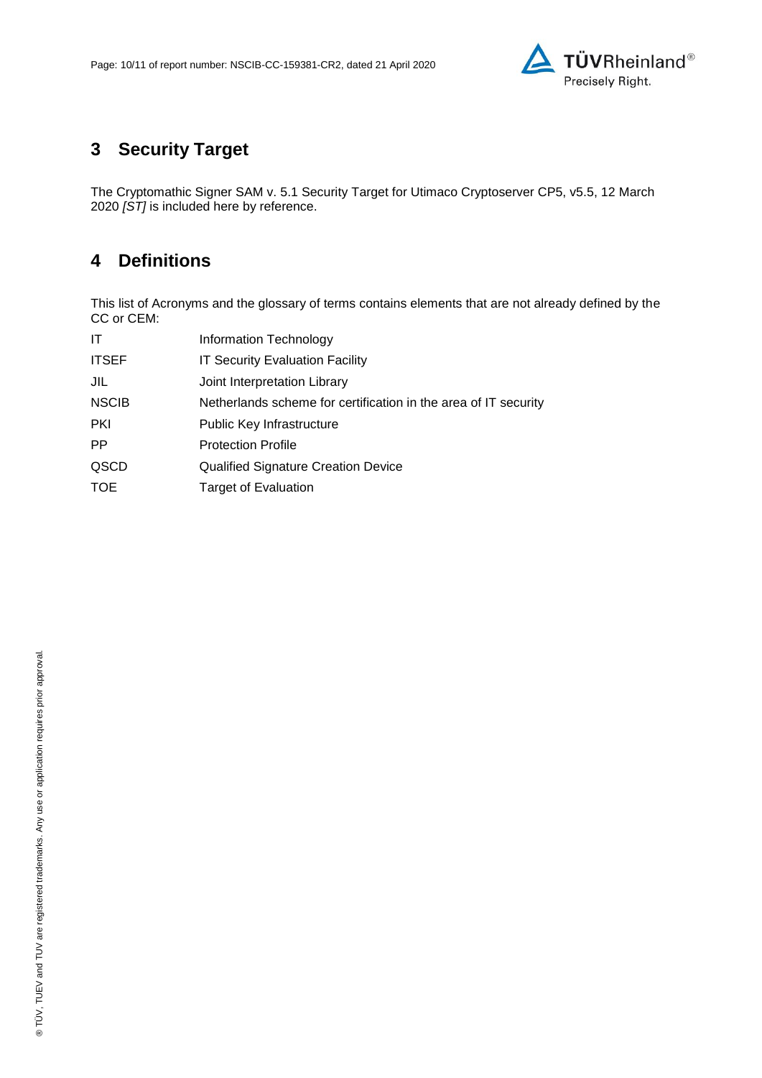

# **3 Security Target**

The [Cryptomathic Signer SAM v. 5.1 Security Target for Utimaco Cryptoserver CP5, v5.5, 12](#page-10-0) March [2020](#page-10-0) *[ST]* is included here by reference.

## **4 Definitions**

This list of Acronyms and the glossary of terms contains elements that are not already defined by the CC or CEM:

| Information Technology                                          |
|-----------------------------------------------------------------|
| <b>IT Security Evaluation Facility</b>                          |
| Joint Interpretation Library                                    |
| Netherlands scheme for certification in the area of IT security |
| Public Key Infrastructure                                       |
| <b>Protection Profile</b>                                       |
| <b>Qualified Signature Creation Device</b>                      |
| <b>Target of Evaluation</b>                                     |
|                                                                 |